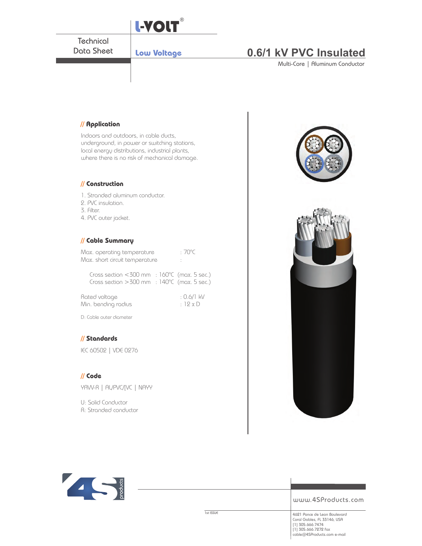

### **// Application**

Indoors and outdoors, in cable ducts, underground, in power or switching stations, local energy distributions, industrial plants, where there is no risk of mechanical damage.

#### **// Construction**

1. Stranded aluminum conductor. 2. PVC insulation.

- 
- 3. Filter.

4. PVC outer jacket.

#### **// Cable Summary**

| Max. operating temperature     | $:70^{\circ}$ C |
|--------------------------------|-----------------|
| Max. short circuit temperature |                 |

Cross section <300 mm : 160°C (max. 5 sec.) Cross section >300 mm : 140°C (max. 5 sec.)

| Rated voltage       | $: 0.6/1$ kV |
|---------------------|--------------|
| Min. bending radius | : $12xD$     |

D: Cable outer diameter

#### **// Standards**

IEC 60502 | VDE 0276

#### **// Code**

YAW-R | AL/PVC/[VC | NAYY

U: Solid Conductor R: Stranded conductor

ICI DE LA CONCERT